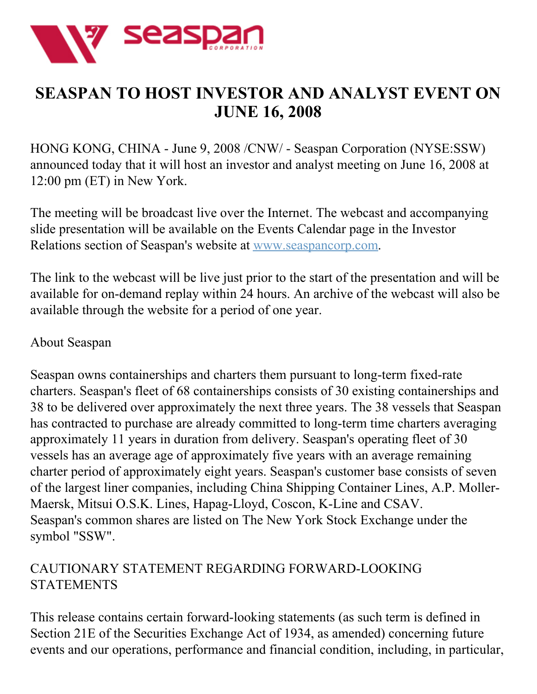

## **SEASPAN TO HOST INVESTOR AND ANALYST EVENT ON JUNE 16, 2008**

HONG KONG, CHINA - June 9, 2008 /CNW/ - Seaspan Corporation (NYSE:SSW) announced today that it will host an investor and analyst meeting on June 16, 2008 at 12:00 pm (ET) in New York.

The meeting will be broadcast live over the Internet. The webcast and accompanying slide presentation will be available on the Events Calendar page in the Investor Relations section of Seaspan's website at [www.seaspancorp.com](http://www.seaspancorp.com/).

The link to the webcast will be live just prior to the start of the presentation and will be available for on-demand replay within 24 hours. An archive of the webcast will also be available through the website for a period of one year.

## About Seaspan

Seaspan owns containerships and charters them pursuant to long-term fixed-rate charters. Seaspan's fleet of 68 containerships consists of 30 existing containerships and 38 to be delivered over approximately the next three years. The 38 vessels that Seaspan has contracted to purchase are already committed to long-term time charters averaging approximately 11 years in duration from delivery. Seaspan's operating fleet of 30 vessels has an average age of approximately five years with an average remaining charter period of approximately eight years. Seaspan's customer base consists of seven of the largest liner companies, including China Shipping Container Lines, A.P. Moller-Maersk, Mitsui O.S.K. Lines, Hapag-Lloyd, Coscon, K-Line and CSAV. Seaspan's common shares are listed on The New York Stock Exchange under the symbol "SSW".

## CAUTIONARY STATEMENT REGARDING FORWARD-LOOKING **STATEMENTS**

This release contains certain forward-looking statements (as such term is defined in Section 21E of the Securities Exchange Act of 1934, as amended) concerning future events and our operations, performance and financial condition, including, in particular,